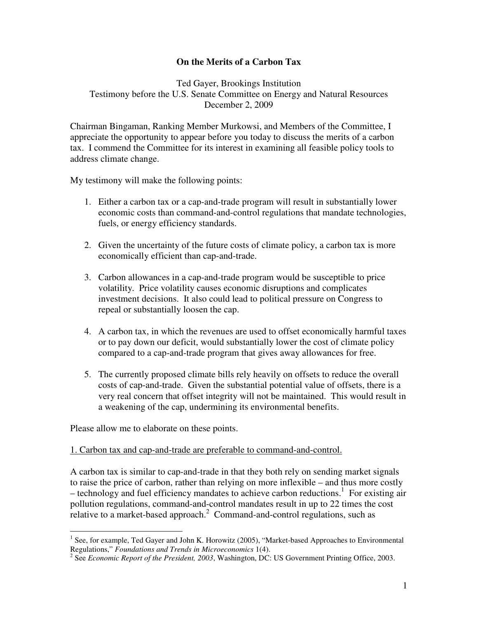# **On the Merits of a Carbon Tax**

Ted Gayer, Brookings Institution Testimony before the U.S. Senate Committee on Energy and Natural Resources December 2, 2009

Chairman Bingaman, Ranking Member Murkowsi, and Members of the Committee, I appreciate the opportunity to appear before you today to discuss the merits of a carbon tax. I commend the Committee for its interest in examining all feasible policy tools to address climate change.

My testimony will make the following points:

- 1. Either a carbon tax or a cap-and-trade program will result in substantially lower economic costs than command-and-control regulations that mandate technologies, fuels, or energy efficiency standards.
- 2. Given the uncertainty of the future costs of climate policy, a carbon tax is more economically efficient than cap-and-trade.
- 3. Carbon allowances in a cap-and-trade program would be susceptible to price volatility. Price volatility causes economic disruptions and complicates investment decisions. It also could lead to political pressure on Congress to repeal or substantially loosen the cap.
- 4. A carbon tax, in which the revenues are used to offset economically harmful taxes or to pay down our deficit, would substantially lower the cost of climate policy compared to a cap-and-trade program that gives away allowances for free.
- 5. The currently proposed climate bills rely heavily on offsets to reduce the overall costs of cap-and-trade. Given the substantial potential value of offsets, there is a very real concern that offset integrity will not be maintained. This would result in a weakening of the cap, undermining its environmental benefits.

Please allow me to elaborate on these points.

#### 1. Carbon tax and cap-and-trade are preferable to command-and-control.

A carbon tax is similar to cap-and-trade in that they both rely on sending market signals to raise the price of carbon, rather than relying on more inflexible – and thus more costly  $-$  technology and fuel efficiency mandates to achieve carbon reductions.<sup>1</sup> For existing air pollution regulations, command-and-control mandates result in up to 22 times the cost relative to a market-based approach.<sup>2</sup> Command-and-control regulations, such as

 $\overline{a}$ <sup>1</sup> See, for example, Ted Gayer and John K. Horowitz (2005), "Market-based Approaches to Environmental Regulations," *Foundations and Trends in Microeconomics* 1(4).

<sup>2</sup> See *Economic Report of the President, 2003*, Washington, DC: US Government Printing Office, 2003.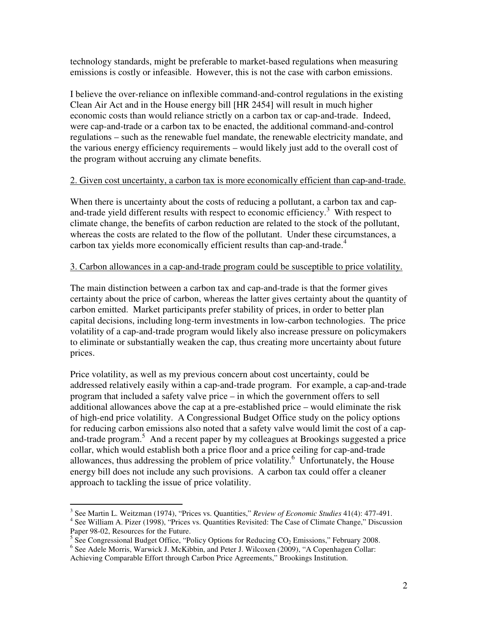technology standards, might be preferable to market-based regulations when measuring emissions is costly or infeasible. However, this is not the case with carbon emissions.

I believe the over-reliance on inflexible command-and-control regulations in the existing Clean Air Act and in the House energy bill [HR 2454] will result in much higher economic costs than would reliance strictly on a carbon tax or cap-and-trade. Indeed, were cap-and-trade or a carbon tax to be enacted, the additional command-and-control regulations – such as the renewable fuel mandate, the renewable electricity mandate, and the various energy efficiency requirements – would likely just add to the overall cost of the program without accruing any climate benefits.

### 2. Given cost uncertainty, a carbon tax is more economically efficient than cap-and-trade.

When there is uncertainty about the costs of reducing a pollutant, a carbon tax and capand-trade yield different results with respect to economic efficiency.<sup>3</sup> With respect to climate change, the benefits of carbon reduction are related to the stock of the pollutant, whereas the costs are related to the flow of the pollutant. Under these circumstances, a carbon tax yields more economically efficient results than cap-and-trade.<sup>4</sup>

### 3. Carbon allowances in a cap-and-trade program could be susceptible to price volatility.

The main distinction between a carbon tax and cap-and-trade is that the former gives certainty about the price of carbon, whereas the latter gives certainty about the quantity of carbon emitted. Market participants prefer stability of prices, in order to better plan capital decisions, including long-term investments in low-carbon technologies. The price volatility of a cap-and-trade program would likely also increase pressure on policymakers to eliminate or substantially weaken the cap, thus creating more uncertainty about future prices.

Price volatility, as well as my previous concern about cost uncertainty, could be addressed relatively easily within a cap-and-trade program. For example, a cap-and-trade program that included a safety valve price – in which the government offers to sell additional allowances above the cap at a pre-established price – would eliminate the risk of high-end price volatility. A Congressional Budget Office study on the policy options for reducing carbon emissions also noted that a safety valve would limit the cost of a capand-trade program.<sup>5</sup> And a recent paper by my colleagues at Brookings suggested a price collar, which would establish both a price floor and a price ceiling for cap-and-trade allowances, thus addressing the problem of price volatility.<sup>6</sup> Unfortunately, the House energy bill does not include any such provisions. A carbon tax could offer a cleaner approach to tackling the issue of price volatility.

 3 See Martin L. Weitzman (1974), "Prices vs. Quantities," *Review of Economic Studies* 41(4): 477-491.

<sup>&</sup>lt;sup>4</sup> See William A. Pizer (1998), "Prices vs. Quantities Revisited: The Case of Climate Change," Discussion Paper 98-02, Resources for the Future.

<sup>&</sup>lt;sup>5</sup> See Congressional Budget Office, "Policy Options for Reducing  $CO<sub>2</sub>$  Emissions," February 2008.

<sup>&</sup>lt;sup>6</sup> See Adele Morris, Warwick J. McKibbin, and Peter J. Wilcoxen (2009), "A Copenhagen Collar: Achieving Comparable Effort through Carbon Price Agreements," Brookings Institution.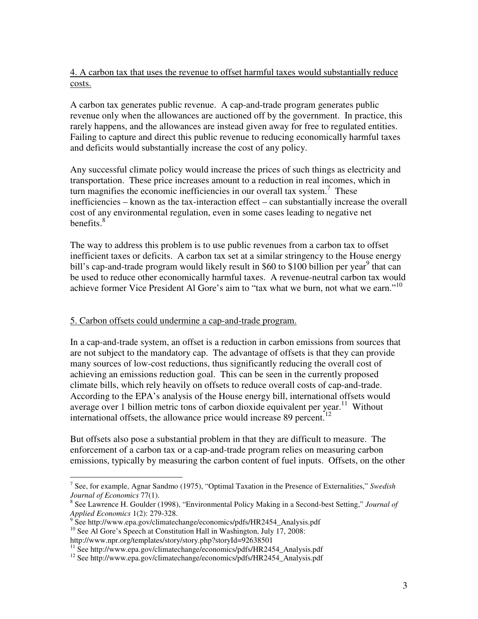4. A carbon tax that uses the revenue to offset harmful taxes would substantially reduce costs.

A carbon tax generates public revenue. A cap-and-trade program generates public revenue only when the allowances are auctioned off by the government. In practice, this rarely happens, and the allowances are instead given away for free to regulated entities. Failing to capture and direct this public revenue to reducing economically harmful taxes and deficits would substantially increase the cost of any policy.

Any successful climate policy would increase the prices of such things as electricity and transportation. These price increases amount to a reduction in real incomes, which in turn magnifies the economic inefficiencies in our overall tax system.<sup>7</sup> These inefficiencies – known as the tax-interaction effect – can substantially increase the overall cost of any environmental regulation, even in some cases leading to negative net benefits. $8$ 

The way to address this problem is to use public revenues from a carbon tax to offset inefficient taxes or deficits. A carbon tax set at a similar stringency to the House energy bill's cap-and-trade program would likely result in \$60 to \$100 billion per year<sup>9</sup> that can be used to reduce other economically harmful taxes. A revenue-neutral carbon tax would achieve former Vice President Al Gore's aim to "tax what we burn, not what we earn."<sup>10</sup>

# 5. Carbon offsets could undermine a cap-and-trade program.

In a cap-and-trade system, an offset is a reduction in carbon emissions from sources that are not subject to the mandatory cap. The advantage of offsets is that they can provide many sources of low-cost reductions, thus significantly reducing the overall cost of achieving an emissions reduction goal. This can be seen in the currently proposed climate bills, which rely heavily on offsets to reduce overall costs of cap-and-trade. According to the EPA's analysis of the House energy bill, international offsets would average over 1 billion metric tons of carbon dioxide equivalent per year.<sup>11</sup> Without international offsets, the allowance price would increase 89 percent.<sup>12</sup>

But offsets also pose a substantial problem in that they are difficult to measure. The enforcement of a carbon tax or a cap-and-trade program relies on measuring carbon emissions, typically by measuring the carbon content of fuel inputs. Offsets, on the other

 7 See, for example, Agnar Sandmo (1975), "Optimal Taxation in the Presence of Externalities," *Swedish Journal of Economics* 77(1).

<sup>8</sup> See Lawrence H. Goulder (1998), "Environmental Policy Making in a Second-best Setting," *Journal of Applied Economics* 1(2): 279-328.

<sup>&</sup>lt;sup>9</sup> See http://www.epa.gov/climatechange/economics/pdfs/HR2454\_Analysis.pdf

<sup>&</sup>lt;sup>10</sup> See Al Gore's Speech at Constitution Hall in Washington, July 17, 2008: http://www.npr.org/templates/story/story.php?storyId=92638501

<sup>&</sup>lt;sup>11</sup> See http://www.epa.gov/climatechange/economics/pdfs/HR2454\_Analysis.pdf

<sup>&</sup>lt;sup>12</sup> See http://www.epa.gov/climatechange/economics/pdfs/HR2454\_Analysis.pdf